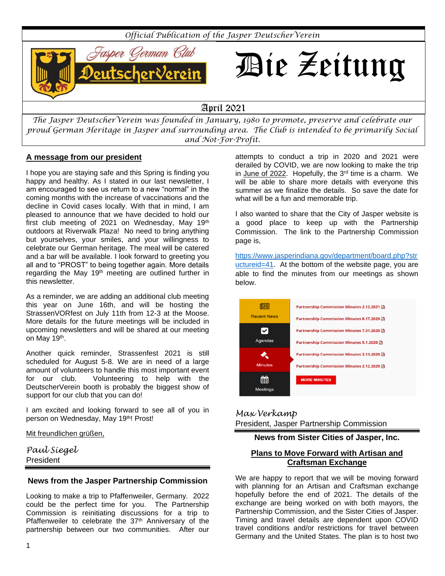

*The Jasper DeutscherVerein was founded in January, 1980 to promote, preserve and celebrate our proud German Heritage in Jasper and surrounding area. The Club is intended to be primarily Social and Not-For-Profit.*

### **A message from our president**

I hope you are staying safe and this Spring is finding you happy and healthy. As I stated in our last newsletter, I am encouraged to see us return to a new "normal" in the coming months with the increase of vaccinations and the decline in Covid cases locally. With that in mind, I am pleased to announce that we have decided to hold our first club meeting of 2021 on Wednesday, May 19th outdoors at Riverwalk Plaza! No need to bring anything but yourselves, your smiles, and your willingness to celebrate our German heritage. The meal will be catered and a bar will be available. I look forward to greeting you all and to "PROST" to being together again. More details regarding the May 19<sup>th</sup> meeting are outlined further in this newsletter.

As a reminder, we are adding an additional club meeting this year on June 16th, and will be hosting the StrassenVORfest on July 11th from 12-3 at the Moose. More details for the future meetings will be included in upcoming newsletters and will be shared at our meeting on May 19<sup>th</sup>.

Another quick reminder, Strassenfest 2021 is still scheduled for August 5-8. We are in need of a large amount of volunteers to handle this most important event for our club. Volunteering to help with the DeutscherVerein booth is probably the biggest show of support for our club that you can do!

I am excited and looking forward to see all of you in person on Wednesday, May 19th! Prost!

Mit freundlichen grüßen,

*Paul Siegel*  President

### **News from the Jasper Partnership Commission**

Looking to make a trip to Pfaffenweiler, Germany. 2022 could be the perfect time for you. The Partnership Commission is reinitiating discussions for a trip to Pfaffenweiler to celebrate the 37<sup>th</sup> Anniversary of the partnership between our two communities. After our

attempts to conduct a trip in 2020 and 2021 were derailed by COVID, we are now looking to make the trip in June of 2022. Hopefully, the  $3<sup>rd</sup>$  time is a charm. We will be able to share more details with everyone this summer as we finalize the details. So save the date for what will be a fun and memorable trip.

I also wanted to share that the City of Jasper website is a good place to keep up with the Partnership Commission. The link to the Partnership Commission page is,

[https://www.jasperindiana.gov/department/board.php?str](https://www.jasperindiana.gov/department/board.php?structureid=41) [uctureid=41.](https://www.jasperindiana.gov/department/board.php?structureid=41) At the bottom of the website page, you are able to find the minutes from our meetings as shown below.



*Max Verkamp* President, Jasper Partnership Commission

**News from Sister Cities of Jasper, Inc.**

### **Plans to Move Forward with Artisan and Craftsman Exchange**

We are happy to report that we will be moving forward with planning for an Artisan and Craftsman exchange hopefully before the end of 2021. The details of the exchange are being worked on with both mayors, the Partnership Commission, and the Sister Cities of Jasper. Timing and travel details are dependent upon COVID travel conditions and/or restrictions for travel between Germany and the United States. The plan is to host two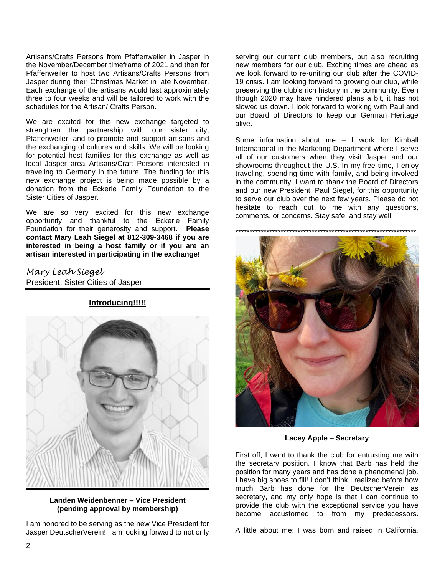Artisans/Crafts Persons from Pfaffenweiler in Jasper in the November/December timeframe of 2021 and then for Pfaffenweiler to host two Artisans/Crafts Persons from Jasper during their Christmas Market in late November. Each exchange of the artisans would last approximately three to four weeks and will be tailored to work with the schedules for the Artisan/ Crafts Person.

We are excited for this new exchange targeted to strengthen the partnership with our sister city, Pfaffenweiler, and to promote and support artisans and the exchanging of cultures and skills. We will be looking for potential host families for this exchange as well as local Jasper area Artisans/Craft Persons interested in traveling to Germany in the future. The funding for this new exchange project is being made possible by a donation from the Eckerle Family Foundation to the Sister Cities of Jasper.

We are so very excited for this new exchange opportunity and thankful to the Eckerle Family Foundation for their generosity and support. **Please contact Mary Leah Siegel at 812-309-3468 if you are interested in being a host family or if you are an artisan interested in participating in the exchange!** 

# *Mary Leah Siegel* President, Sister Cities of Jasper

**Introducing!!!!!**



**Landen Weidenbenner – Vice President (pending approval by membership)**

I am honored to be serving as the new Vice President for Jasper DeutscherVerein! I am looking forward to not only serving our current club members, but also recruiting new members for our club. Exciting times are ahead as we look forward to re-uniting our club after the COVID-19 crisis. I am looking forward to growing our club, while preserving the club's rich history in the community. Even though 2020 may have hindered plans a bit, it has not slowed us down. I look forward to working with Paul and our Board of Directors to keep our German Heritage alive.

Some information about me – I work for Kimball International in the Marketing Department where I serve all of our customers when they visit Jasper and our showrooms throughout the U.S. In my free time, I enjoy traveling, spending time with family, and being involved in the community. I want to thank the Board of Directors and our new President, Paul Siegel, for this opportunity to serve our club over the next few years. Please do not hesitate to reach out to me with any questions, comments, or concerns. Stay safe, and stay well.



**Lacey Apple – Secretary**

First off, I want to thank the club for entrusting me with the secretary position. I know that Barb has held the position for many years and has done a phenomenal job. I have big shoes to fill! I don't think I realized before how much Barb has done for the DeutscherVerein as secretary, and my only hope is that I can continue to provide the club with the exceptional service you have become accustomed to from my predecessors.

A little about me: I was born and raised in California,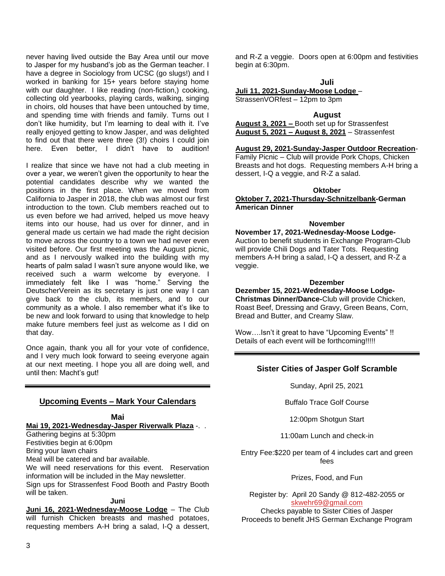never having lived outside the Bay Area until our move to Jasper for my husband's job as the German teacher. I have a degree in Sociology from UCSC (go slugs!) and I worked in banking for 15+ years before staying home with our daughter. I like reading (non-fiction.) cooking. collecting old yearbooks, playing cards, walking, singing in choirs, old houses that have been untouched by time, and spending time with friends and family. Turns out I don't like humidity, but I'm learning to deal with it. I've really enjoyed getting to know Jasper, and was delighted to find out that there were three (3!) choirs I could join here. Even better, I didn't have to audition!

I realize that since we have not had a club meeting in over a year, we weren't given the opportunity to hear the potential candidates describe why we wanted the positions in the first place. When we moved from California to Jasper in 2018, the club was almost our first introduction to the town. Club members reached out to us even before we had arrived, helped us move heavy items into our house, had us over for dinner, and in general made us certain we had made the right decision to move across the country to a town we had never even visited before. Our first meeting was the August picnic, and as I nervously walked into the building with my hearts of palm salad I wasn't sure anyone would like, we received such a warm welcome by everyone. I immediately felt like I was "home." Serving the DeutscherVerein as its secretary is just one way I can give back to the club, its members, and to our community as a whole. I also remember what it's like to be new and look forward to using that knowledge to help make future members feel just as welcome as I did on that day.

Once again, thank you all for your vote of confidence, and I very much look forward to seeing everyone again at our next meeting. I hope you all are doing well, and until then: Macht's gut!

### **Upcoming Events – Mark Your Calendars**

**Mai**

### **Mai 19, 2021-Wednesday-Jasper Riverwalk Plaza** -. .

Gathering begins at 5:30pm Festivities begin at 6:00pm Bring your lawn chairs Meal will be catered and bar available. We will need reservations for this event. Reservation information will be included in the May newsletter. Sign ups for Strassenfest Food Booth and Pastry Booth will be taken.

#### **Juni**

**Juni 16, 2021-Wednesday-Moose Lodge** – The Club will furnish Chicken breasts and mashed potatoes, requesting members A-H bring a salad, I-Q a dessert,

and R-Z a veggie. Doors open at 6:00pm and festivities begin at 6:30pm.

**Juli**

**Juli 11, 2021-Sunday-Moose Lodge** –

StrassenVORfest – 12pm to 3pm

#### **August**

**August 3, 2021 –** Booth set up for Strassenfest **August 5, 2021 – August 8, 2021** – Strassenfest

**August 29, 2021-Sunday-Jasper Outdoor Recreation**-

Family Picnic – Club will provide Pork Chops, Chicken Breasts and hot dogs. Requesting members A-H bring a dessert, I-Q a veggie, and R-Z a salad.

#### **Oktober**

**Oktober 7, 2021-Thursday-Schnitzelbank-German American Dinner**

#### **November**

**November 17, 2021-Wednesday-Moose Lodge-**Auction to benefit students in Exchange Program-Club will provide Chili Dogs and Tater Tots. Requesting members A-H bring a salad, I-Q a dessert, and R-Z a veggie.

#### **Dezember**

**Dezember 15, 2021-Wednesday-Moose Lodge-Christmas Dinner/Dance-**Club will provide Chicken, Roast Beef, Dressing and Gravy, Green Beans, Corn, Bread and Butter, and Creamy Slaw.

Wow….Isn't it great to have "Upcoming Events" !! Details of each event will be forthcoming!!!!!

#### **Sister Cities of Jasper Golf Scramble**

Sunday, April 25, 2021

Buffalo Trace Golf Course

12:00pm Shotgun Start

11:00am Lunch and check-in

Entry Fee:\$220 per team of 4 includes cart and green fees

Prizes, Food, and Fun

Register by: April 20 Sandy @ 812-482-2055 or [skwehr69@gmail.com](mailto:skwehr69@gmail.com)

Checks payable to Sister Cities of Jasper Proceeds to benefit JHS German Exchange Program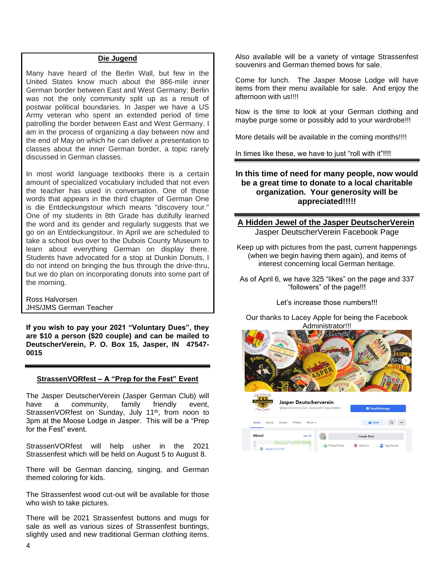### **Die Jugend**

Many have heard of the Berlin Wall, but few in the United States know much about the 866-mile inner German border between East and West Germany; Berlin was not the only community split up as a result of postwar political boundaries. In Jasper we have a US Army veteran who spent an extended period of time patrolling the border between East and West Germany. I am in the process of organizing a day between now and the end of May on which he can deliver a presentation to classes about the inner German border, a topic rarely discussed in German classes.

In most world language textbooks there is a certain amount of specialized vocabulary included that not even the teacher has used in conversation. One of those words that appears in the third chapter of German One is die Entdeckungstour which means "discovery tour." One of my students in 8th Grade has dutifully learned the word and its gender and regularly suggests that we go on an Entdeckungstour. In April we are scheduled to take a school bus over to the Dubois County Museum to learn about everything German on display there. Students have advocated for a stop at Dunkin Donuts, I do not intend on bringing the bus through the drive-thru, but we do plan on incorporating donuts into some part of the morning.

Ross Halvorsen JHS/JMS German Teacher

**If you wish to pay your 2021 "Voluntary Dues", they are \$10 a person (\$20 couple) and can be mailed to DeutscherVerein, P. O. Box 15, Jasper, IN 47547- 0015**

#### **StrassenVORfest – A "Prep for the Fest" Event**

The Jasper DeutscherVerein (Jasper German Club) will have a community, family friendly event, StrassenVORfest on Sunday, July 11<sup>th</sup>, from noon to 3pm at the Moose Lodge in Jasper. This will be a "Prep for the Fest" event.

StrassenVORfest will help usher in the 2021 Strassenfest which will be held on August 5 to August 8.

There will be German dancing, singing, and German themed coloring for kids.

The Strassenfest wood cut-out will be available for those who wish to take pictures.

There will be 2021 Strassenfest buttons and mugs for sale as well as various sizes of Strassenfest buntings, slightly used and new traditional German clothing items. Also available will be a variety of vintage Strassenfest souvenirs and German themed bows for sale.

Come for lunch. The Jasper Moose Lodge will have items from their menu available for sale. And enjoy the afternoon with us!!!!

Now is the time to look at your German clothing and maybe purge some or possibly add to your wardrobe!!!

More details will be available in the coming months!!!!

In times like these, we have to just "roll with it"!!!!

### **In this time of need for many people, now would be a great time to donate to a local charitable organization. Your generosity will be appreciated!!!!!**

### **A Hidden Jewel of the Jasper DeutscherVerein** Jasper DeutscherVerein Facebook Page

Keep up with pictures from the past, current happenings (when we begin having them again), and items of interest concerning local German heritage.

As of April 6, we have 325 "likes" on the page and 337 "followers" of the page!!!

Let's increase those numbers!!!

Our thanks to Lacey Apple for being the Facebook Administrator!!!

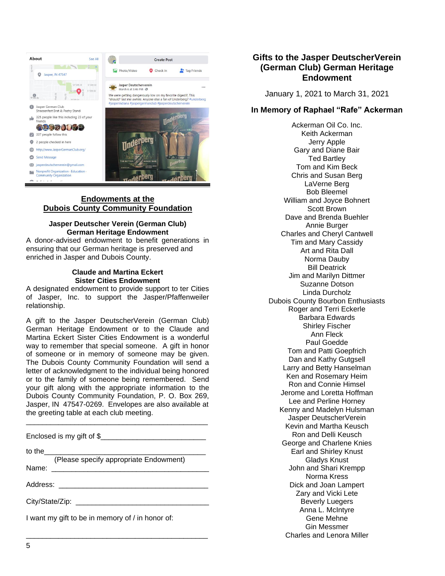

### **Endowments at the Dubois County Community Foundation**

#### **Jasper Deutscher Verein (German Club) German Heritage Endowment**

A donor-advised endowment to benefit generations in ensuring that our German heritage is preserved and enriched in Jasper and Dubois County.

### **Claude and Martina Eckert Sister Cities Endowment**

A designated endowment to provide support to ter Cities of Jasper, Inc. to support the Jasper/Pfaffenweiler relationship.

A gift to the Jasper DeutscherVerein (German Club) German Heritage Endowment or to the Claude and Martina Eckert Sister Cities Endowment is a wonderful way to remember that special someone. A gift in honor of someone or in memory of someone may be given. The Dubois County Community Foundation will send a letter of acknowledgment to the individual being honored or to the family of someone being remembered. Send your gift along with the appropriate information to the Dubois County Community Foundation, P. O. Box 269, Jasper, IN 47547-0269. Envelopes are also available at the greeting table at each club meeting.

Enclosed is my gift of  $$$ 

to the\_\_\_\_\_\_\_\_\_\_\_\_\_\_\_\_\_\_\_\_\_\_\_\_\_\_\_\_\_\_\_\_\_\_\_\_\_\_\_\_

(Please specify appropriate Endowment)

\_\_\_\_\_\_\_\_\_\_\_\_\_\_\_\_\_\_\_\_\_\_\_\_\_\_\_\_\_\_\_\_\_\_\_\_\_\_\_\_\_\_\_\_\_

\_\_\_\_\_\_\_\_\_\_\_\_\_\_\_\_\_\_\_\_\_\_\_\_\_\_\_\_\_\_\_\_\_\_\_\_\_\_\_\_\_\_\_\_\_

Name:

Address:

City/State/Zip:

I want my gift to be in memory of / in honor of:

# **Gifts to the Jasper DeutscherVerein (German Club) German Heritage Endowment**

January 1, 2021 to March 31, 2021

### **In Memory of Raphael "Rafe" Ackerman**

Ackerman Oil Co. Inc. Keith Ackerman Jerry Apple Gary and Diane Bair Ted Bartley Tom and Kim Beck Chris and Susan Berg LaVerne Berg Bob Bleemel William and Joyce Bohnert Scott Brown Dave and Brenda Buehler Annie Burger Charles and Cheryl Cantwell Tim and Mary Cassidy Art and Rita Dall Norma Dauby Bill Deatrick Jim and Marilyn Dittmer Suzanne Dotson Linda Durcholz Dubois County Bourbon Enthusiasts Roger and Terri Eckerle Barbara Edwards Shirley Fischer Ann Fleck Paul Goedde Tom and Patti Goepfrich Dan and Kathy Gutgsell Larry and Betty Hanselman Ken and Rosemary Heim Ron and Connie Himsel Jerome and Loretta Hoffman Lee and Perline Horney Kenny and Madelyn Hulsman Jasper DeutscherVerein Kevin and Martha Keusch Ron and Delli Keusch George and Charlene Knies Earl and Shirley Knust Gladys Knust John and Shari Krempp Norma Kress Dick and Joan Lampert Zary and Vicki Lete Beverly Luegers Anna L. McIntyre Gene Mehne Gin Messmer Charles and Lenora Miller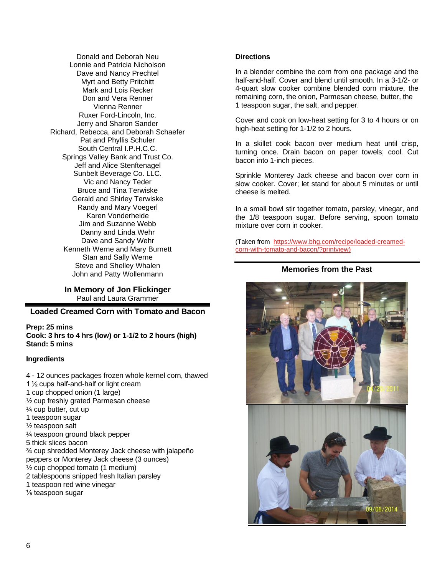Donald and Deborah Neu Lonnie and Patricia Nicholson Dave and Nancy Prechtel Myrt and Betty Pritchitt Mark and Lois Recker Don and Vera Renner Vienna Renner Ruxer Ford-Lincoln, Inc. Jerry and Sharon Sander Richard, Rebecca, and Deborah Schaefer Pat and Phyllis Schuler South Central I.P.H.C.C. Springs Valley Bank and Trust Co. Jeff and Alice Stenftenagel Sunbelt Beverage Co. LLC. Vic and Nancy Teder Bruce and Tina Terwiske Gerald and Shirley Terwiske Randy and Mary Voegerl Karen Vonderheide Jim and Suzanne Webb Danny and Linda Wehr Dave and Sandy Wehr Kenneth Werne and Mary Burnett Stan and Sally Werne Steve and Shelley Whalen John and Patty Wollenmann

> **In Memory of Jon Flickinger** Paul and Laura Grammer

### **Loaded Creamed Corn with Tomato and Bacon**

**Prep: 25 mins Cook: 3 hrs to 4 hrs (low) or 1-1/2 to 2 hours (high) Stand: 5 mins**

#### **Ingredients**

4 - 12 ounces packages frozen whole kernel corn, thawed 1 ½ cups half-and-half or light cream 1 cup chopped onion (1 large) ½ cup freshly grated Parmesan cheese ¼ cup butter, cut up 1 teaspoon sugar ½ teaspoon salt ¼ teaspoon ground black pepper 5 thick slices bacon ¾ cup shredded Monterey Jack cheese with jalapeño peppers or Monterey Jack cheese (3 ounces) ½ cup chopped tomato (1 medium) 2 tablespoons snipped fresh Italian parsley 1 teaspoon red wine vinegar ⅛ teaspoon sugar

#### **Directions**

In a blender combine the corn from one package and the half-and-half. Cover and blend until smooth. In a 3-1/2- or 4-quart slow cooker combine blended corn mixture, the remaining corn, the onion, Parmesan cheese, butter, the 1 teaspoon sugar, the salt, and pepper.

Cover and cook on low-heat setting for 3 to 4 hours or on high-heat setting for 1-1/2 to 2 hours.

In a skillet cook bacon over medium heat until crisp, turning once. Drain bacon on paper towels; cool. Cut bacon into 1-inch pieces.

Sprinkle Monterey Jack cheese and bacon over corn in slow cooker. Cover; let stand for about 5 minutes or until cheese is melted.

In a small bowl stir together tomato, parsley, vinegar, and the 1/8 teaspoon sugar. Before serving, spoon tomato mixture over corn in cooker.

(Taken from[https://www.bhg.com/recipe/loaded-creamed](https://www.bhg.com/recipe/loaded-creamed-corn-with-tomato-and-bacon/?printview)[corn-with-tomato-and-bacon/?printview\)](https://www.bhg.com/recipe/loaded-creamed-corn-with-tomato-and-bacon/?printview)

### **Memories from the Past**